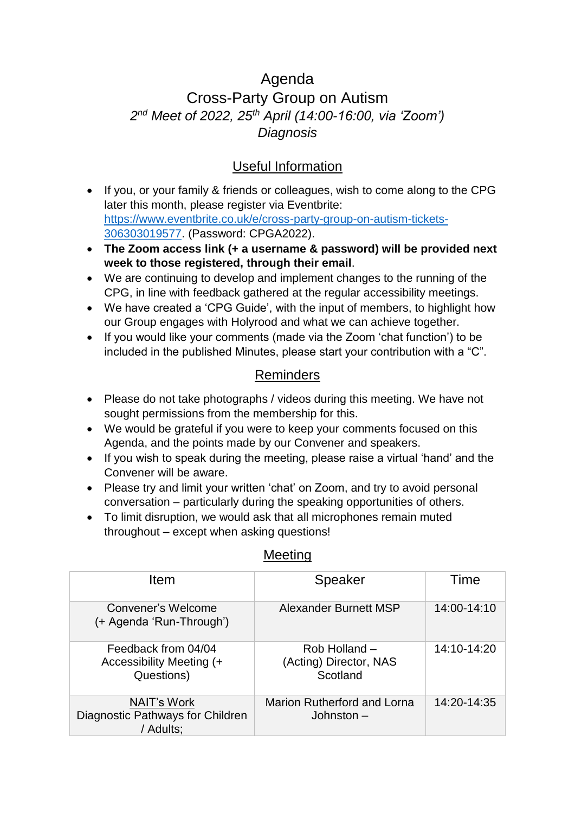# Agenda Cross-Party Group on Autism *2 nd Meet of 2022, 25th April (14:00-16:00, via 'Zoom') Diagnosis*

## Useful Information

- If you, or your family & friends or colleagues, wish to come along to the CPG later this month, please register via Eventbrite: [https://www.eventbrite.co.uk/e/cross-party-group-on-autism-tickets-](https://www.eventbrite.co.uk/e/cross-party-group-on-autism-tickets-306303019577)[306303019577.](https://www.eventbrite.co.uk/e/cross-party-group-on-autism-tickets-306303019577) (Password: CPGA2022).
- **The Zoom access link (+ a username & password) will be provided next week to those registered, through their email**.
- We are continuing to develop and implement changes to the running of the CPG, in line with feedback gathered at the regular accessibility meetings.
- We have created a 'CPG Guide', with the input of members, to highlight how our Group engages with Holyrood and what we can achieve together.
- If you would like your comments (made via the Zoom 'chat function') to be included in the published Minutes, please start your contribution with a "C".

### Reminders

- Please do not take photographs / videos during this meeting. We have not sought permissions from the membership for this.
- We would be grateful if you were to keep your comments focused on this Agenda, and the points made by our Convener and speakers.
- If you wish to speak during the meeting, please raise a virtual 'hand' and the Convener will be aware.
- Please try and limit your written 'chat' on Zoom, and try to avoid personal conversation – particularly during the speaking opportunities of others.
- To limit disruption, we would ask that all microphones remain muted throughout – except when asking questions!

| Item                                                                | <b>Speaker</b>                                      | Time        |
|---------------------------------------------------------------------|-----------------------------------------------------|-------------|
| Convener's Welcome<br>(+ Agenda 'Run-Through')                      | Alexander Burnett MSP                               | 14:00-14:10 |
| Feedback from 04/04<br>Accessibility Meeting (+<br>Questions)       | Rob Holland -<br>(Acting) Director, NAS<br>Scotland | 14:10-14:20 |
| <b>NAIT's Work</b><br>Diagnostic Pathways for Children<br>/ Adults; | <b>Marion Rutherford and Lorna</b><br>Johnston $-$  | 14:20-14:35 |

### Meeting